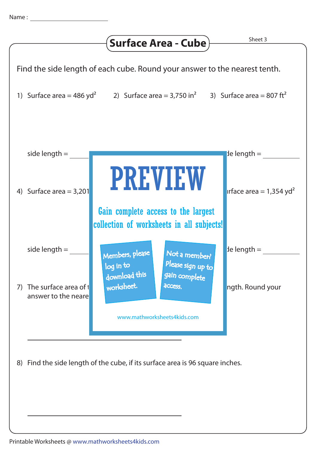